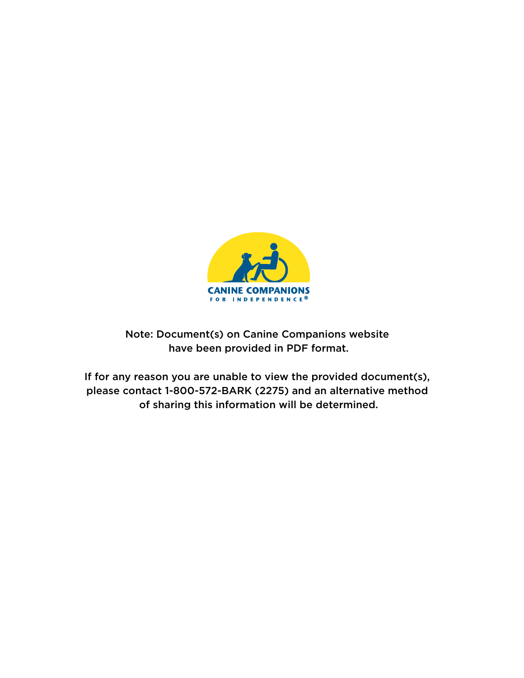

# Note: Document(s) on Canine Companions website have been provided in PDF format.

If for any reason you are unable to view the provided document(s), please contact 1-800-572-BARK (2275) and an alternative method of sharing this information will be determined.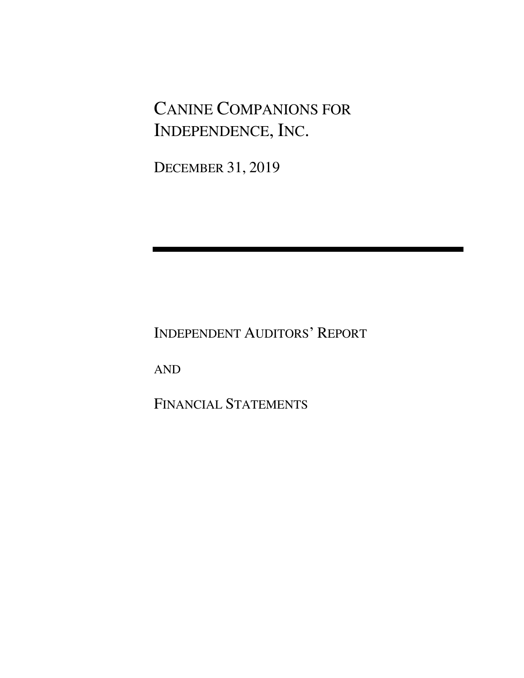# CANINE COMPANIONS FOR INDEPENDENCE, INC.

DECEMBER 31, 2019

INDEPENDENT AUDITORS' REPORT

AND

FINANCIAL STATEMENTS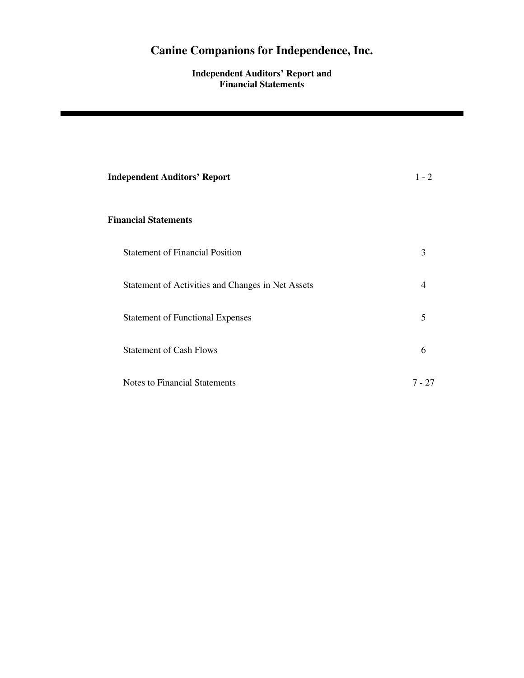# **Independent Auditors' Report and Financial Statements**

| <b>Independent Auditors' Report</b>               | $1 - 2$        |
|---------------------------------------------------|----------------|
| <b>Financial Statements</b>                       |                |
| <b>Statement of Financial Position</b>            | 3              |
| Statement of Activities and Changes in Net Assets | $\overline{4}$ |
| <b>Statement of Functional Expenses</b>           | 5              |
| <b>Statement of Cash Flows</b>                    | 6              |
| <b>Notes to Financial Statements</b>              | 7 - 27         |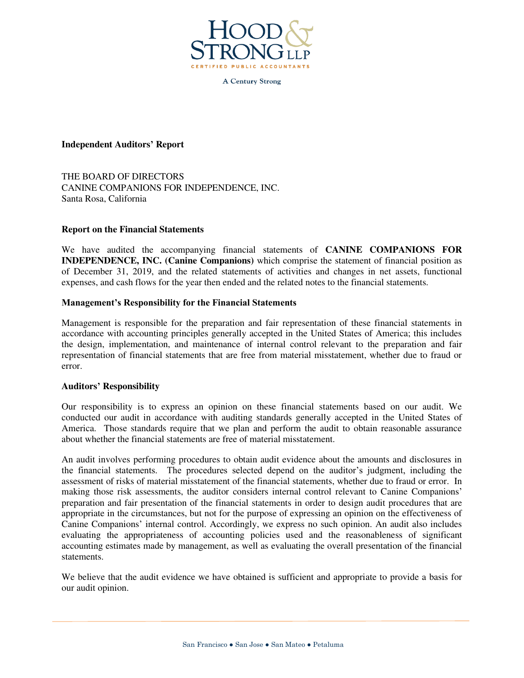

**A Century Strong** 

#### **Independent Auditors' Report**

THE BOARD OF DIRECTORS CANINE COMPANIONS FOR INDEPENDENCE, INC. Santa Rosa, California

#### **Report on the Financial Statements**

We have audited the accompanying financial statements of **CANINE COMPANIONS FOR INDEPENDENCE, INC. (Canine Companions)** which comprise the statement of financial position as of December 31, 2019, and the related statements of activities and changes in net assets, functional expenses, and cash flows for the year then ended and the related notes to the financial statements.

#### **Management's Responsibility for the Financial Statements**

Management is responsible for the preparation and fair representation of these financial statements in accordance with accounting principles generally accepted in the United States of America; this includes the design, implementation, and maintenance of internal control relevant to the preparation and fair representation of financial statements that are free from material misstatement, whether due to fraud or error.

#### **Auditors' Responsibility**

Our responsibility is to express an opinion on these financial statements based on our audit. We conducted our audit in accordance with auditing standards generally accepted in the United States of America. Those standards require that we plan and perform the audit to obtain reasonable assurance about whether the financial statements are free of material misstatement.

An audit involves performing procedures to obtain audit evidence about the amounts and disclosures in the financial statements. The procedures selected depend on the auditor's judgment, including the assessment of risks of material misstatement of the financial statements, whether due to fraud or error. In making those risk assessments, the auditor considers internal control relevant to Canine Companions' preparation and fair presentation of the financial statements in order to design audit procedures that are appropriate in the circumstances, but not for the purpose of expressing an opinion on the effectiveness of Canine Companions' internal control. Accordingly, we express no such opinion. An audit also includes evaluating the appropriateness of accounting policies used and the reasonableness of significant accounting estimates made by management, as well as evaluating the overall presentation of the financial statements.

We believe that the audit evidence we have obtained is sufficient and appropriate to provide a basis for our audit opinion.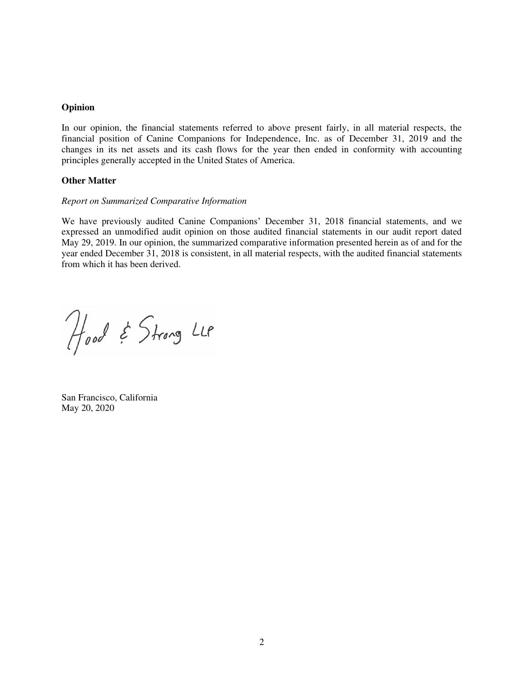#### **Opinion**

In our opinion, the financial statements referred to above present fairly, in all material respects, the financial position of Canine Companions for Independence, Inc. as of December 31, 2019 and the changes in its net assets and its cash flows for the year then ended in conformity with accounting principles generally accepted in the United States of America.

#### **Other Matter**

#### *Report on Summarized Comparative Information*

We have previously audited Canine Companions' December 31, 2018 financial statements, and we expressed an unmodified audit opinion on those audited financial statements in our audit report dated May 29, 2019. In our opinion, the summarized comparative information presented herein as of and for the year ended December 31, 2018 is consistent, in all material respects, with the audited financial statements from which it has been derived.

Hood & Strong LLP

San Francisco, California May 20, 2020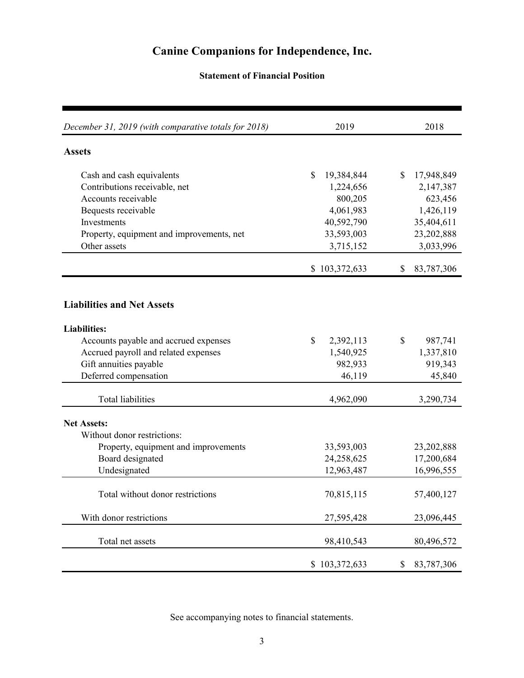# **Statement of Financial Position**

| December 31, 2019 (with comparative totals for 2018) | 2019             |               | 2018       |
|------------------------------------------------------|------------------|---------------|------------|
| <b>Assets</b>                                        |                  |               |            |
| Cash and cash equivalents                            | \$<br>19,384,844 | <sup>\$</sup> | 17,948,849 |
| Contributions receivable, net                        | 1,224,656        |               | 2,147,387  |
| Accounts receivable                                  | 800,205          |               | 623,456    |
| Bequests receivable                                  | 4,061,983        |               | 1,426,119  |
| Investments                                          | 40,592,790       |               | 35,404,611 |
| Property, equipment and improvements, net            | 33,593,003       |               | 23,202,888 |
| Other assets                                         | 3,715,152        |               | 3,033,996  |
|                                                      | \$103,372,633    | \$            | 83,787,306 |
| <b>Liabilities and Net Assets</b>                    |                  |               |            |
|                                                      |                  |               |            |
| <b>Liabilities:</b>                                  |                  |               |            |
| Accounts payable and accrued expenses                | \$<br>2,392,113  | \$            | 987,741    |
| Accrued payroll and related expenses                 | 1,540,925        |               | 1,337,810  |
| Gift annuities payable                               | 982,933          |               | 919,343    |
| Deferred compensation                                | 46,119           |               | 45,840     |
| <b>Total liabilities</b>                             | 4,962,090        |               | 3,290,734  |
| <b>Net Assets:</b>                                   |                  |               |            |
| Without donor restrictions:                          |                  |               |            |
| Property, equipment and improvements                 | 33,593,003       |               | 23,202,888 |
| Board designated                                     | 24,258,625       |               | 17,200,684 |
| Undesignated                                         | 12,963,487       |               | 16,996,555 |
| Total without donor restrictions                     | 70,815,115       |               | 57,400,127 |
| With donor restrictions                              | 27,595,428       |               | 23,096,445 |
| Total net assets                                     | 98,410,543       |               | 80,496,572 |
|                                                      | \$103,372,633    | \$            | 83,787,306 |

See accompanying notes to financial statements.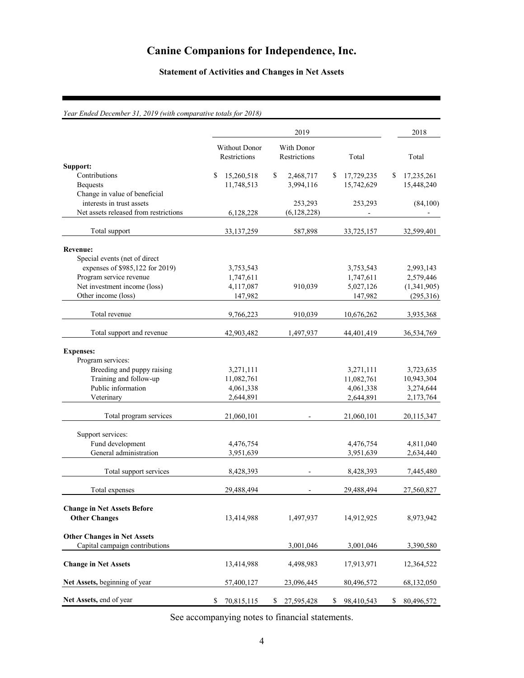# **Statement of Activities and Changes in Net Assets**

## *Year Ended December 31, 2019 (with comparative totals for 2018)*

|                                       |                        | 2019             |                  | 2018                     |
|---------------------------------------|------------------------|------------------|------------------|--------------------------|
|                                       | <b>Without Donor</b>   | With Donor       |                  |                          |
|                                       | Restrictions           | Restrictions     | Total            | Total                    |
| Support:                              |                        |                  |                  |                          |
| Contributions                         | \$<br>15,260,518       | \$<br>2,468,717  | 17,729,235<br>S. | 17,235,261<br>S.         |
| <b>Bequests</b>                       | 11,748,513             | 3,994,116        | 15,742,629       | 15,448,240               |
| Change in value of beneficial         |                        |                  |                  |                          |
| interests in trust assets             |                        | 253,293          | 253,293          | (84,100)                 |
| Net assets released from restrictions | 6,128,228              | (6,128,228)      |                  |                          |
| Total support                         | 33, 137, 259           | 587,898          | 33,725,157       | 32,599,401               |
| <b>Revenue:</b>                       |                        |                  |                  |                          |
| Special events (net of direct         |                        |                  |                  |                          |
| expenses of \$985,122 for 2019)       | 3,753,543              |                  | 3,753,543        | 2,993,143                |
| Program service revenue               |                        |                  | 1,747,611        |                          |
| Net investment income (loss)          | 1,747,611<br>4,117,087 | 910,039          | 5,027,126        | 2,579,446<br>(1,341,905) |
| Other income (loss)                   |                        |                  | 147,982          |                          |
|                                       | 147,982                |                  |                  | (295,316)                |
| Total revenue                         | 9,766,223              | 910.039          | 10,676,262       | 3,935,368                |
| Total support and revenue             | 42,903,482             | 1,497,937        | 44,401,419       | 36,534,769               |
| <b>Expenses:</b>                      |                        |                  |                  |                          |
| Program services:                     |                        |                  |                  |                          |
| Breeding and puppy raising            | 3,271,111              |                  | 3,271,111        | 3,723,635                |
| Training and follow-up                | 11,082,761             |                  | 11,082,761       | 10,943,304               |
| Public information                    | 4,061,338              |                  | 4,061,338        | 3,274,644                |
| Veterinary                            |                        |                  | 2,644,891        |                          |
|                                       | 2,644,891              |                  |                  | 2,173,764                |
| Total program services                | 21,060,101             |                  | 21,060,101       | 20,115,347               |
| Support services:                     |                        |                  |                  |                          |
| Fund development                      | 4,476,754              |                  | 4,476,754        | 4,811,040                |
| General administration                | 3,951,639              |                  | 3,951,639        | 2,634,440                |
|                                       |                        |                  |                  |                          |
| Total support services                | 8,428,393              |                  | 8,428,393        | 7,445,480                |
| Total expenses                        | 29,488,494             |                  | 29,488,494       | 27,560,827               |
| <b>Change in Net Assets Before</b>    |                        |                  |                  |                          |
| <b>Other Changes</b>                  | 13,414,988             | 1,497,937        | 14,912,925       | 8,973,942                |
|                                       |                        |                  |                  |                          |
| <b>Other Changes in Net Assets</b>    |                        |                  |                  |                          |
| Capital campaign contributions        |                        | 3,001,046        | 3,001,046        | 3,390,580                |
| <b>Change in Net Assets</b>           | 13,414,988             | 4,498,983        | 17,913,971       | 12,364,522               |
| Net Assets, beginning of year         | 57,400,127             | 23,096,445       | 80,496,572       | 68,132,050               |
| Net Assets, end of year               |                        |                  |                  |                          |
|                                       | \$<br>70,815,115       | \$<br>27,595,428 | S<br>98,410,543  | \$<br>80,496,572         |

See accompanying notes to financial statements.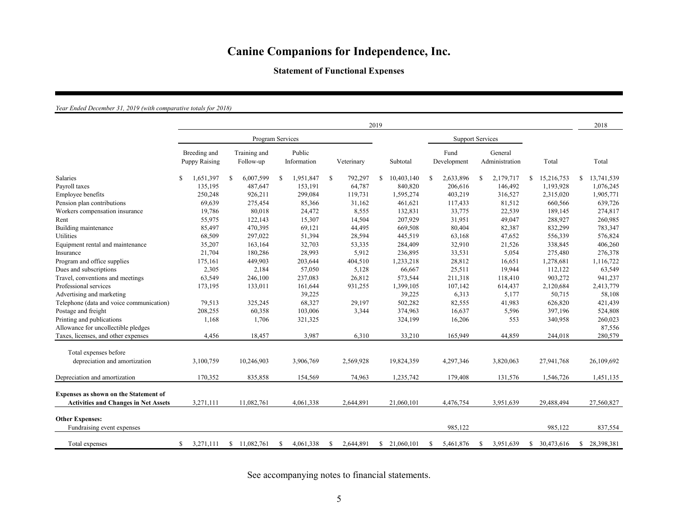## **Statement of Functional Expenses**

#### *Year Ended December 31, 2019 (with comparative totals for 2018)*

|                                                                                      |                                      |    |                           |             |                       |               |            | 2019          |            |               |                         |    |                           |    |            |              | 2018       |
|--------------------------------------------------------------------------------------|--------------------------------------|----|---------------------------|-------------|-----------------------|---------------|------------|---------------|------------|---------------|-------------------------|----|---------------------------|----|------------|--------------|------------|
|                                                                                      |                                      |    | Program Services          |             |                       |               |            |               |            |               | <b>Support Services</b> |    |                           |    |            |              |            |
|                                                                                      | Breeding and<br><b>Puppy Raising</b> |    | Training and<br>Follow-up |             | Public<br>Information |               | Veterinary |               | Subtotal   |               | Fund<br>Development     |    | General<br>Administration |    | Total      |              | Total      |
| Salaries                                                                             | \$<br>1,651,397                      | S. | 6,007,599                 | $\mathbf S$ | 1,951,847             | <sup>\$</sup> | 792,297    | <sup>\$</sup> | 10,403,140 | <sup>\$</sup> | 2,633,896               | S. | 2,179,717                 | S  | 15,216,753 | \$           | 13,741,539 |
| Payroll taxes                                                                        | 135,195                              |    | 487,647                   |             | 153,191               |               | 64,787     |               | 840,820    |               | 206,616                 |    | 146,492                   |    | 1,193,928  |              | 1,076,245  |
| Employee benefits                                                                    | 250,248                              |    | 926,211                   |             | 299,084               |               | 119,731    |               | 1,595,274  |               | 403,219                 |    | 316,527                   |    | 2,315,020  |              | 1,905,771  |
| Pension plan contributions                                                           | 69,639                               |    | 275,454                   |             | 85,366                |               | 31,162     |               | 461,621    |               | 117,433                 |    | 81,512                    |    | 660,566    |              | 639,726    |
| Workers compensation insurance                                                       | 19,786                               |    | 80,018                    |             | 24,472                |               | 8,555      |               | 132,831    |               | 33,775                  |    | 22,539                    |    | 189,145    |              | 274,817    |
| Rent                                                                                 | 55,975                               |    | 122,143                   |             | 15,307                |               | 14,504     |               | 207,929    |               | 31,951                  |    | 49,047                    |    | 288,927    |              | 260,985    |
| Building maintenance                                                                 | 85,497                               |    | 470,395                   |             | 69,121                |               | 44,495     |               | 669,508    |               | 80,404                  |    | 82,387                    |    | 832,299    |              | 783,347    |
| Utilities                                                                            | 68,509                               |    | 297,022                   |             | 51,394                |               | 28,594     |               | 445,519    |               | 63,168                  |    | 47,652                    |    | 556,339    |              | 576,824    |
| Equipment rental and maintenance                                                     | 35,207                               |    | 163,164                   |             | 32,703                |               | 53,335     |               | 284,409    |               | 32,910                  |    | 21,526                    |    | 338,845    |              | 406,260    |
| Insurance                                                                            | 21,704                               |    | 180,286                   |             | 28,993                |               | 5,912      |               | 236,895    |               | 33,531                  |    | 5,054                     |    | 275,480    |              | 276,378    |
| Program and office supplies                                                          | 175,161                              |    | 449,903                   |             | 203,644               |               | 404,510    |               | 1,233,218  |               | 28,812                  |    | 16,651                    |    | 1,278,681  |              | 1,116,722  |
| Dues and subscriptions                                                               | 2,305                                |    | 2,184                     |             | 57,050                |               | 5,128      |               | 66,667     |               | 25,511                  |    | 19,944                    |    | 112,122    |              | 63,549     |
| Travel, conventions and meetings                                                     | 63,549                               |    | 246,100                   |             | 237,083               |               | 26,812     |               | 573,544    |               | 211,318                 |    | 118,410                   |    | 903,272    |              | 941,237    |
| Professional services                                                                | 173,195                              |    | 133,011                   |             | 161,644               |               | 931,255    |               | 1,399,105  |               | 107,142                 |    | 614,437                   |    | 2,120,684  |              | 2,413,779  |
| Advertising and marketing                                                            |                                      |    |                           |             | 39,225                |               |            |               | 39,225     |               | 6,313                   |    | 5,177                     |    | 50,715     |              | 58,108     |
| Telephone (data and voice communication)                                             | 79,513                               |    | 325,245                   |             | 68,327                |               | 29,197     |               | 502,282    |               | 82,555                  |    | 41,983                    |    | 626,820    |              | 421,439    |
| Postage and freight                                                                  | 208,255                              |    | 60,358                    |             | 103,006               |               | 3,344      |               | 374,963    |               | 16,637                  |    | 5,596                     |    | 397,196    |              | 524,808    |
| Printing and publications                                                            | 1,168                                |    | 1,706                     |             | 321,325               |               |            |               | 324,199    |               | 16,206                  |    | 553                       |    | 340,958    |              | 260,023    |
| Allowance for uncollectible pledges                                                  |                                      |    |                           |             |                       |               |            |               |            |               |                         |    |                           |    |            |              | 87,556     |
| Taxes, licenses, and other expenses                                                  | 4,456                                |    | 18,457                    |             | 3,987                 |               | 6,310      |               | 33,210     |               | 165,949                 |    | 44,859                    |    | 244,018    |              | 280,579    |
|                                                                                      |                                      |    |                           |             |                       |               |            |               |            |               |                         |    |                           |    |            |              |            |
| Total expenses before                                                                |                                      |    |                           |             |                       |               |            |               |            |               |                         |    |                           |    |            |              |            |
| depreciation and amortization                                                        | 3,100,759                            |    | 10,246,903                |             | 3,906,769             |               | 2,569,928  |               | 19,824,359 |               | 4,297,346               |    | 3,820,063                 |    | 27,941,768 |              | 26,109,692 |
| Depreciation and amortization                                                        | 170,352                              |    | 835,858                   |             | 154,569               |               | 74,963     |               | 1,235,742  |               | 179,408                 |    | 131,576                   |    | 1,546,726  |              | 1,451,135  |
| Expenses as shown on the Statement of<br><b>Activities and Changes in Net Assets</b> | 3,271,111                            |    | 11,082,761                |             | 4,061,338             |               | 2,644,891  |               | 21,060,101 |               | 4,476,754               |    | 3,951,639                 |    | 29,488,494 |              | 27,560,827 |
| <b>Other Expenses:</b><br>Fundraising event expenses                                 |                                      |    |                           |             |                       |               |            |               |            |               | 985,122                 |    |                           |    | 985,122    |              | 837,554    |
| Total expenses                                                                       | \$<br>3,271,111                      | S. | 11.082.761                | S           | 4.061.338             | <sup>\$</sup> | 2.644.891  | <sup>S</sup>  | 21,060,101 | S.            | 5,461,876               | S  | 3,951,639                 | S. | 30,473,616 | <sup>S</sup> | 28,398,381 |

See accompanying notes to financial statements.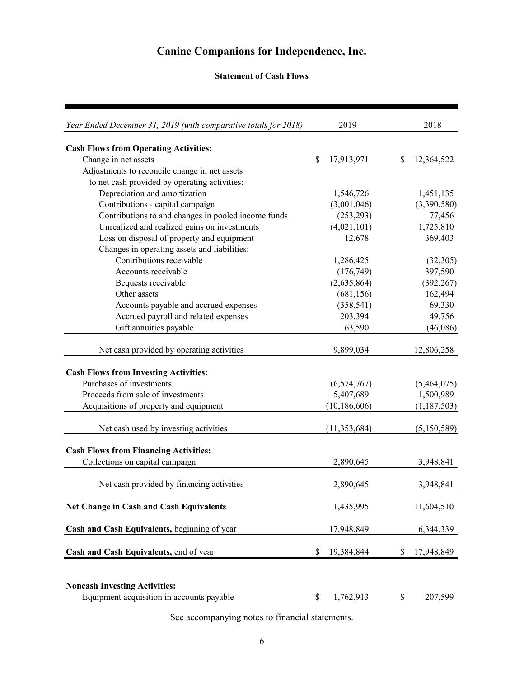# **Statement of Cash Flows**

| Year Ended December 31, 2019 (with comparative totals for 2018)                   | 2019             | 2018             |
|-----------------------------------------------------------------------------------|------------------|------------------|
| <b>Cash Flows from Operating Activities:</b>                                      |                  |                  |
| Change in net assets                                                              | \$<br>17,913,971 | \$<br>12,364,522 |
| Adjustments to reconcile change in net assets                                     |                  |                  |
| to net cash provided by operating activities:                                     |                  |                  |
| Depreciation and amortization                                                     | 1,546,726        | 1,451,135        |
| Contributions - capital campaign                                                  | (3,001,046)      | (3,390,580)      |
| Contributions to and changes in pooled income funds                               | (253, 293)       | 77,456           |
| Unrealized and realized gains on investments                                      | (4,021,101)      | 1,725,810        |
| Loss on disposal of property and equipment                                        | 12,678           | 369,403          |
| Changes in operating assets and liabilities:                                      |                  |                  |
| Contributions receivable                                                          | 1,286,425        | (32,305)         |
| Accounts receivable                                                               | (176,749)        | 397,590          |
| Bequests receivable                                                               | (2,635,864)      | (392, 267)       |
| Other assets                                                                      | (681, 156)       | 162,494          |
| Accounts payable and accrued expenses                                             | (358, 541)       | 69,330           |
| Accrued payroll and related expenses                                              | 203,394          | 49,756           |
| Gift annuities payable                                                            | 63,590           | (46,086)         |
| Net cash provided by operating activities                                         | 9,899,034        | 12,806,258       |
|                                                                                   |                  |                  |
| <b>Cash Flows from Investing Activities:</b>                                      |                  |                  |
| Purchases of investments                                                          | (6,574,767)      | (5,464,075)      |
| Proceeds from sale of investments                                                 | 5,407,689        | 1,500,989        |
| Acquisitions of property and equipment                                            | (10, 186, 606)   | (1, 187, 503)    |
|                                                                                   |                  |                  |
| Net cash used by investing activities                                             | (11, 353, 684)   | (5,150,589)      |
|                                                                                   |                  |                  |
| <b>Cash Flows from Financing Activities:</b><br>Collections on capital campaign   | 2,890,645        | 3,948,841        |
|                                                                                   |                  |                  |
| Net cash provided by financing activities                                         | 2,890,645        | 3,948,841        |
| <b>Net Change in Cash and Cash Equivalents</b>                                    | 1,435,995        | 11,604,510       |
| Cash and Cash Equivalents, beginning of year                                      | 17,948,849       | 6,344,339        |
| Cash and Cash Equivalents, end of year                                            | \$<br>19,384,844 | \$<br>17,948,849 |
|                                                                                   |                  |                  |
|                                                                                   |                  |                  |
| <b>Noncash Investing Activities:</b><br>Equipment acquisition in accounts payable | \$<br>1,762,913  | \$<br>207,599    |
|                                                                                   |                  |                  |
| See accompanying notes to financial statements.                                   |                  |                  |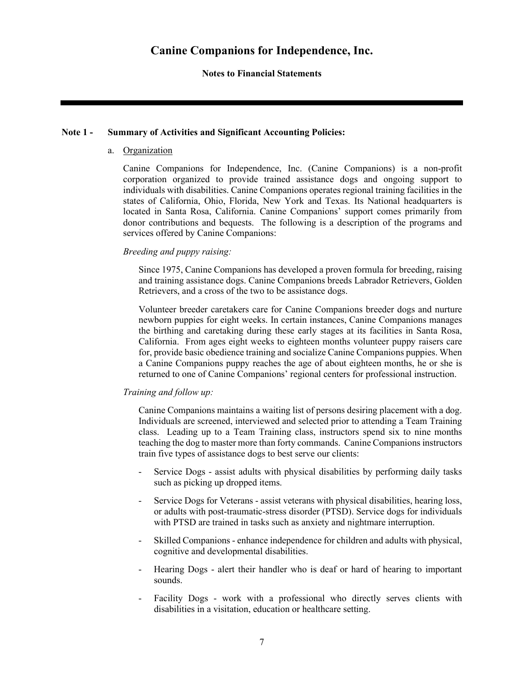## **Notes to Financial Statements**

#### **Note 1 - Summary of Activities and Significant Accounting Policies:**

# a. Organization

Canine Companions for Independence, Inc. (Canine Companions) is a non-profit corporation organized to provide trained assistance dogs and ongoing support to individuals with disabilities. Canine Companions operates regional training facilities in the states of California, Ohio, Florida, New York and Texas. Its National headquarters is located in Santa Rosa, California. Canine Companions' support comes primarily from donor contributions and bequests. The following is a description of the programs and services offered by Canine Companions:

## *Breeding and puppy raising:*

Since 1975, Canine Companions has developed a proven formula for breeding, raising and training assistance dogs. Canine Companions breeds Labrador Retrievers, Golden Retrievers, and a cross of the two to be assistance dogs.

Volunteer breeder caretakers care for Canine Companions breeder dogs and nurture newborn puppies for eight weeks. In certain instances, Canine Companions manages the birthing and caretaking during these early stages at its facilities in Santa Rosa, California. From ages eight weeks to eighteen months volunteer puppy raisers care for, provide basic obedience training and socialize Canine Companions puppies. When a Canine Companions puppy reaches the age of about eighteen months, he or she is returned to one of Canine Companions' regional centers for professional instruction.

#### *Training and follow up:*

Canine Companions maintains a waiting list of persons desiring placement with a dog. Individuals are screened, interviewed and selected prior to attending a Team Training class. Leading up to a Team Training class, instructors spend six to nine months teaching the dog to master more than forty commands. Canine Companions instructors train five types of assistance dogs to best serve our clients:

- Service Dogs assist adults with physical disabilities by performing daily tasks such as picking up dropped items.
- Service Dogs for Veterans assist veterans with physical disabilities, hearing loss, or adults with post-traumatic-stress disorder (PTSD). Service dogs for individuals with PTSD are trained in tasks such as anxiety and nightmare interruption.
- Skilled Companions enhance independence for children and adults with physical, cognitive and developmental disabilities.
- Hearing Dogs alert their handler who is deaf or hard of hearing to important sounds.
- Facility Dogs work with a professional who directly serves clients with disabilities in a visitation, education or healthcare setting.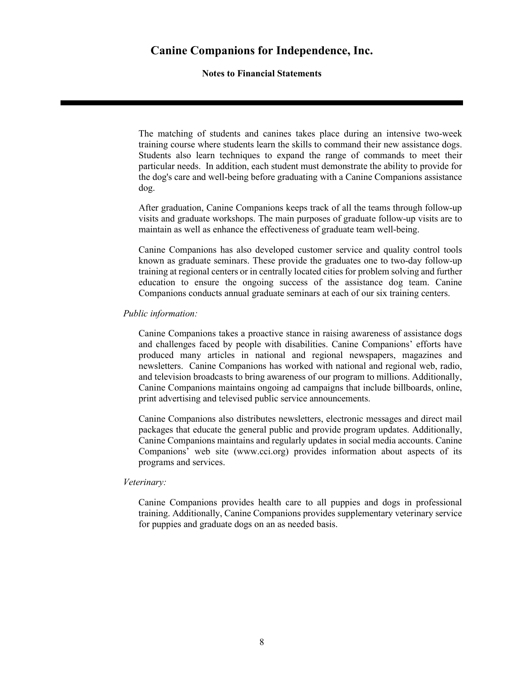**Notes to Financial Statements** 

The matching of students and canines takes place during an intensive two-week training course where students learn the skills to command their new assistance dogs. Students also learn techniques to expand the range of commands to meet their particular needs. In addition, each student must demonstrate the ability to provide for the dog's care and well-being before graduating with a Canine Companions assistance dog.

After graduation, Canine Companions keeps track of all the teams through follow-up visits and graduate workshops. The main purposes of graduate follow-up visits are to maintain as well as enhance the effectiveness of graduate team well-being.

Canine Companions has also developed customer service and quality control tools known as graduate seminars. These provide the graduates one to two-day follow-up training at regional centers or in centrally located cities for problem solving and further education to ensure the ongoing success of the assistance dog team. Canine Companions conducts annual graduate seminars at each of our six training centers.

#### *Public information:*

Canine Companions takes a proactive stance in raising awareness of assistance dogs and challenges faced by people with disabilities. Canine Companions' efforts have produced many articles in national and regional newspapers, magazines and newsletters. Canine Companions has worked with national and regional web, radio, and television broadcasts to bring awareness of our program to millions. Additionally, Canine Companions maintains ongoing ad campaigns that include billboards, online, print advertising and televised public service announcements.

Canine Companions also distributes newsletters, electronic messages and direct mail packages that educate the general public and provide program updates. Additionally, Canine Companions maintains and regularly updates in social media accounts. Canine Companions' web site (www.cci.org) provides information about aspects of its programs and services.

#### *Veterinary:*

Canine Companions provides health care to all puppies and dogs in professional training. Additionally, Canine Companions provides supplementary veterinary service for puppies and graduate dogs on an as needed basis.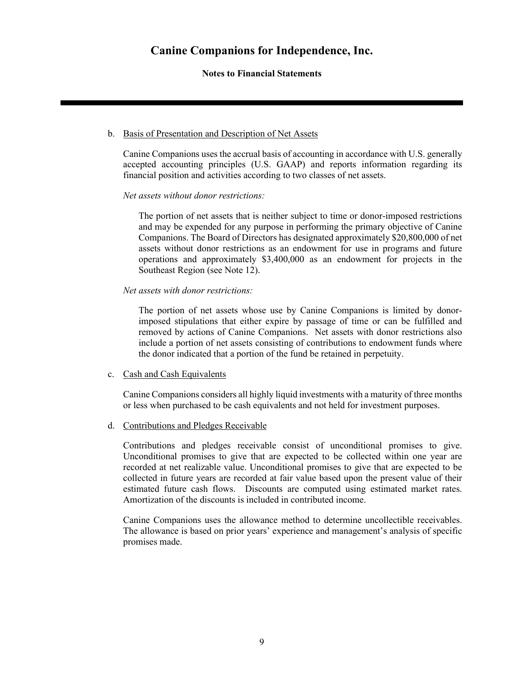# **Notes to Financial Statements**

# b. Basis of Presentation and Description of Net Assets

Canine Companions uses the accrual basis of accounting in accordance with U.S. generally accepted accounting principles (U.S. GAAP) and reports information regarding its financial position and activities according to two classes of net assets.

# *Net assets without donor restrictions:*

The portion of net assets that is neither subject to time or donor-imposed restrictions and may be expended for any purpose in performing the primary objective of Canine Companions. The Board of Directors has designated approximately \$20,800,000 of net assets without donor restrictions as an endowment for use in programs and future operations and approximately \$3,400,000 as an endowment for projects in the Southeast Region (see Note 12).

## *Net assets with donor restrictions:*

The portion of net assets whose use by Canine Companions is limited by donorimposed stipulations that either expire by passage of time or can be fulfilled and removed by actions of Canine Companions. Net assets with donor restrictions also include a portion of net assets consisting of contributions to endowment funds where the donor indicated that a portion of the fund be retained in perpetuity.

# c. Cash and Cash Equivalents

Canine Companions considers all highly liquid investments with a maturity of three months or less when purchased to be cash equivalents and not held for investment purposes.

# d. Contributions and Pledges Receivable

Contributions and pledges receivable consist of unconditional promises to give. Unconditional promises to give that are expected to be collected within one year are recorded at net realizable value. Unconditional promises to give that are expected to be collected in future years are recorded at fair value based upon the present value of their estimated future cash flows. Discounts are computed using estimated market rates. Amortization of the discounts is included in contributed income.

Canine Companions uses the allowance method to determine uncollectible receivables. The allowance is based on prior years' experience and management's analysis of specific promises made.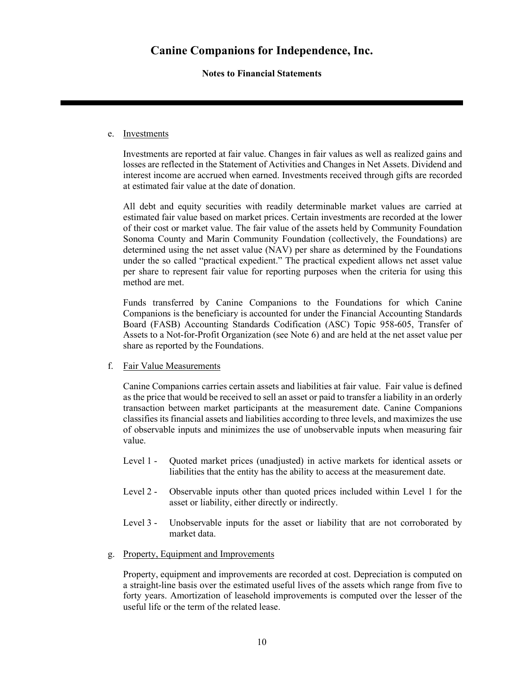# **Notes to Financial Statements**

## e. Investments

Investments are reported at fair value. Changes in fair values as well as realized gains and losses are reflected in the Statement of Activities and Changes in Net Assets. Dividend and interest income are accrued when earned. Investments received through gifts are recorded at estimated fair value at the date of donation.

All debt and equity securities with readily determinable market values are carried at estimated fair value based on market prices. Certain investments are recorded at the lower of their cost or market value. The fair value of the assets held by Community Foundation Sonoma County and Marin Community Foundation (collectively, the Foundations) are determined using the net asset value (NAV) per share as determined by the Foundations under the so called "practical expedient." The practical expedient allows net asset value per share to represent fair value for reporting purposes when the criteria for using this method are met.

Funds transferred by Canine Companions to the Foundations for which Canine Companions is the beneficiary is accounted for under the Financial Accounting Standards Board (FASB) Accounting Standards Codification (ASC) Topic 958-605, Transfer of Assets to a Not-for-Profit Organization (see Note 6) and are held at the net asset value per share as reported by the Foundations.

# f. Fair Value Measurements

Canine Companions carries certain assets and liabilities at fair value. Fair value is defined as the price that would be received to sell an asset or paid to transfer a liability in an orderly transaction between market participants at the measurement date. Canine Companions classifies its financial assets and liabilities according to three levels, and maximizes the use of observable inputs and minimizes the use of unobservable inputs when measuring fair value.

- Level 1 Quoted market prices (unadjusted) in active markets for identical assets or liabilities that the entity has the ability to access at the measurement date.
- Level 2 Observable inputs other than quoted prices included within Level 1 for the asset or liability, either directly or indirectly.
- Level 3 Unobservable inputs for the asset or liability that are not corroborated by market data.
- g. Property, Equipment and Improvements

Property, equipment and improvements are recorded at cost. Depreciation is computed on a straight-line basis over the estimated useful lives of the assets which range from five to forty years. Amortization of leasehold improvements is computed over the lesser of the useful life or the term of the related lease.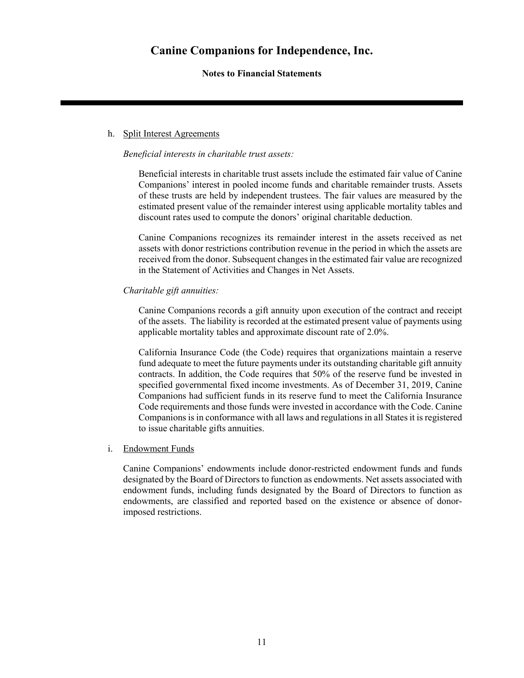**Notes to Financial Statements** 

## h. Split Interest Agreements

## *Beneficial interests in charitable trust assets:*

Beneficial interests in charitable trust assets include the estimated fair value of Canine Companions' interest in pooled income funds and charitable remainder trusts. Assets of these trusts are held by independent trustees. The fair values are measured by the estimated present value of the remainder interest using applicable mortality tables and discount rates used to compute the donors' original charitable deduction.

Canine Companions recognizes its remainder interest in the assets received as net assets with donor restrictions contribution revenue in the period in which the assets are received from the donor. Subsequent changes in the estimated fair value are recognized in the Statement of Activities and Changes in Net Assets.

# *Charitable gift annuities:*

Canine Companions records a gift annuity upon execution of the contract and receipt of the assets. The liability is recorded at the estimated present value of payments using applicable mortality tables and approximate discount rate of 2.0%.

California Insurance Code (the Code) requires that organizations maintain a reserve fund adequate to meet the future payments under its outstanding charitable gift annuity contracts. In addition, the Code requires that 50% of the reserve fund be invested in specified governmental fixed income investments. As of December 31, 2019, Canine Companions had sufficient funds in its reserve fund to meet the California Insurance Code requirements and those funds were invested in accordance with the Code. Canine Companions is in conformance with all laws and regulations in all States it is registered to issue charitable gifts annuities.

#### i. Endowment Funds

Canine Companions' endowments include donor-restricted endowment funds and funds designated by the Board of Directors to function as endowments. Net assets associated with endowment funds, including funds designated by the Board of Directors to function as endowments, are classified and reported based on the existence or absence of donorimposed restrictions.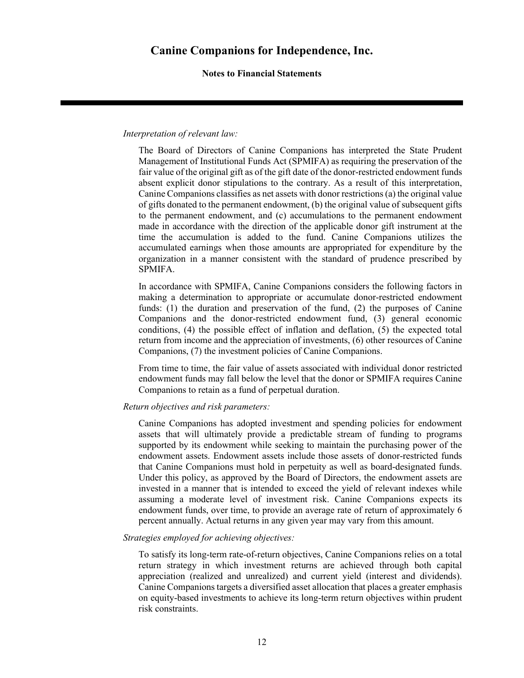## **Notes to Financial Statements**

#### *Interpretation of relevant law:*

The Board of Directors of Canine Companions has interpreted the State Prudent Management of Institutional Funds Act (SPMIFA) as requiring the preservation of the fair value of the original gift as of the gift date of the donor-restricted endowment funds absent explicit donor stipulations to the contrary. As a result of this interpretation, Canine Companions classifies as net assets with donor restrictions(a) the original value of gifts donated to the permanent endowment, (b) the original value of subsequent gifts to the permanent endowment, and (c) accumulations to the permanent endowment made in accordance with the direction of the applicable donor gift instrument at the time the accumulation is added to the fund. Canine Companions utilizes the accumulated earnings when those amounts are appropriated for expenditure by the organization in a manner consistent with the standard of prudence prescribed by SPMIFA.

In accordance with SPMIFA, Canine Companions considers the following factors in making a determination to appropriate or accumulate donor-restricted endowment funds: (1) the duration and preservation of the fund, (2) the purposes of Canine Companions and the donor-restricted endowment fund, (3) general economic conditions, (4) the possible effect of inflation and deflation, (5) the expected total return from income and the appreciation of investments, (6) other resources of Canine Companions, (7) the investment policies of Canine Companions.

From time to time, the fair value of assets associated with individual donor restricted endowment funds may fall below the level that the donor or SPMIFA requires Canine Companions to retain as a fund of perpetual duration.

#### *Return objectives and risk parameters:*

Canine Companions has adopted investment and spending policies for endowment assets that will ultimately provide a predictable stream of funding to programs supported by its endowment while seeking to maintain the purchasing power of the endowment assets. Endowment assets include those assets of donor-restricted funds that Canine Companions must hold in perpetuity as well as board-designated funds. Under this policy, as approved by the Board of Directors, the endowment assets are invested in a manner that is intended to exceed the yield of relevant indexes while assuming a moderate level of investment risk. Canine Companions expects its endowment funds, over time, to provide an average rate of return of approximately 6 percent annually. Actual returns in any given year may vary from this amount.

#### *Strategies employed for achieving objectives:*

To satisfy its long-term rate-of-return objectives, Canine Companions relies on a total return strategy in which investment returns are achieved through both capital appreciation (realized and unrealized) and current yield (interest and dividends). Canine Companions targets a diversified asset allocation that places a greater emphasis on equity-based investments to achieve its long-term return objectives within prudent risk constraints.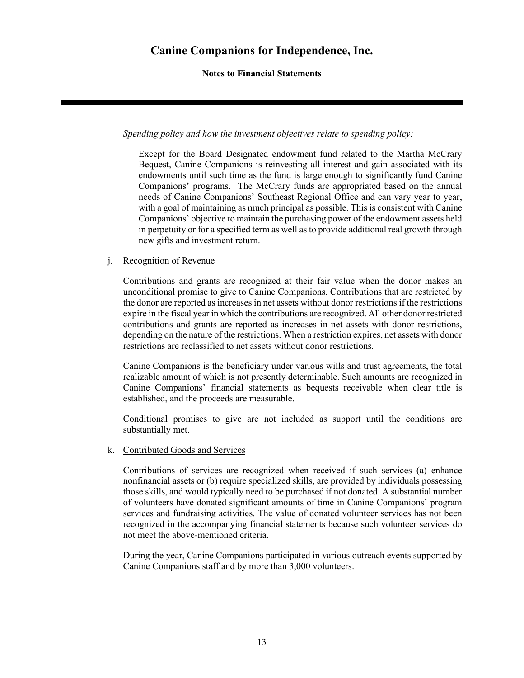# **Notes to Financial Statements**

# *Spending policy and how the investment objectives relate to spending policy:*

Except for the Board Designated endowment fund related to the Martha McCrary Bequest, Canine Companions is reinvesting all interest and gain associated with its endowments until such time as the fund is large enough to significantly fund Canine Companions' programs. The McCrary funds are appropriated based on the annual needs of Canine Companions' Southeast Regional Office and can vary year to year, with a goal of maintaining as much principal as possible. This is consistent with Canine Companions' objective to maintain the purchasing power of the endowment assets held in perpetuity or for a specified term as well as to provide additional real growth through new gifts and investment return.

# j. Recognition of Revenue

Contributions and grants are recognized at their fair value when the donor makes an unconditional promise to give to Canine Companions. Contributions that are restricted by the donor are reported as increases in net assets without donor restrictions if the restrictions expire in the fiscal year in which the contributions are recognized. All other donor restricted contributions and grants are reported as increases in net assets with donor restrictions, depending on the nature of the restrictions. When a restriction expires, net assets with donor restrictions are reclassified to net assets without donor restrictions.

Canine Companions is the beneficiary under various wills and trust agreements, the total realizable amount of which is not presently determinable. Such amounts are recognized in Canine Companions' financial statements as bequests receivable when clear title is established, and the proceeds are measurable.

Conditional promises to give are not included as support until the conditions are substantially met.

# k. Contributed Goods and Services

Contributions of services are recognized when received if such services (a) enhance nonfinancial assets or (b) require specialized skills, are provided by individuals possessing those skills, and would typically need to be purchased if not donated. A substantial number of volunteers have donated significant amounts of time in Canine Companions' program services and fundraising activities. The value of donated volunteer services has not been recognized in the accompanying financial statements because such volunteer services do not meet the above-mentioned criteria.

During the year, Canine Companions participated in various outreach events supported by Canine Companions staff and by more than 3,000 volunteers.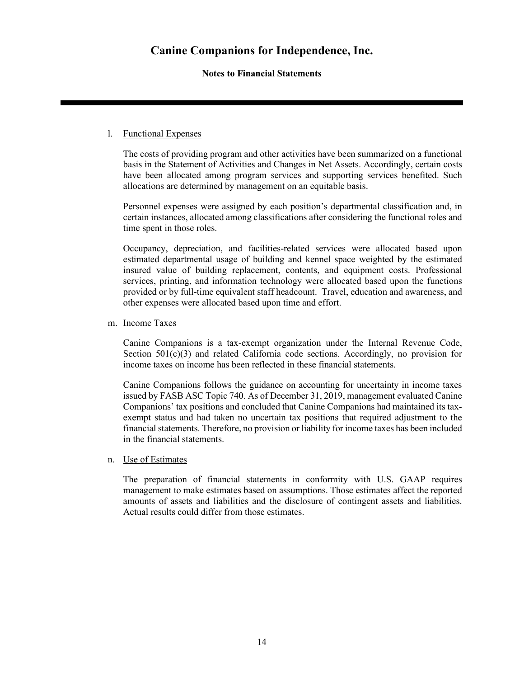**Notes to Financial Statements** 

# l. Functional Expenses

The costs of providing program and other activities have been summarized on a functional basis in the Statement of Activities and Changes in Net Assets. Accordingly, certain costs have been allocated among program services and supporting services benefited. Such allocations are determined by management on an equitable basis.

Personnel expenses were assigned by each position's departmental classification and, in certain instances, allocated among classifications after considering the functional roles and time spent in those roles.

Occupancy, depreciation, and facilities-related services were allocated based upon estimated departmental usage of building and kennel space weighted by the estimated insured value of building replacement, contents, and equipment costs. Professional services, printing, and information technology were allocated based upon the functions provided or by full-time equivalent staff headcount. Travel, education and awareness, and other expenses were allocated based upon time and effort.

# m. Income Taxes

Canine Companions is a tax-exempt organization under the Internal Revenue Code, Section  $501(c)(3)$  and related California code sections. Accordingly, no provision for income taxes on income has been reflected in these financial statements.

Canine Companions follows the guidance on accounting for uncertainty in income taxes issued by FASB ASC Topic 740. As of December 31, 2019, management evaluated Canine Companions' tax positions and concluded that Canine Companions had maintained its taxexempt status and had taken no uncertain tax positions that required adjustment to the financial statements. Therefore, no provision or liability for income taxes has been included in the financial statements.

# n. Use of Estimates

The preparation of financial statements in conformity with U.S. GAAP requires management to make estimates based on assumptions. Those estimates affect the reported amounts of assets and liabilities and the disclosure of contingent assets and liabilities. Actual results could differ from those estimates.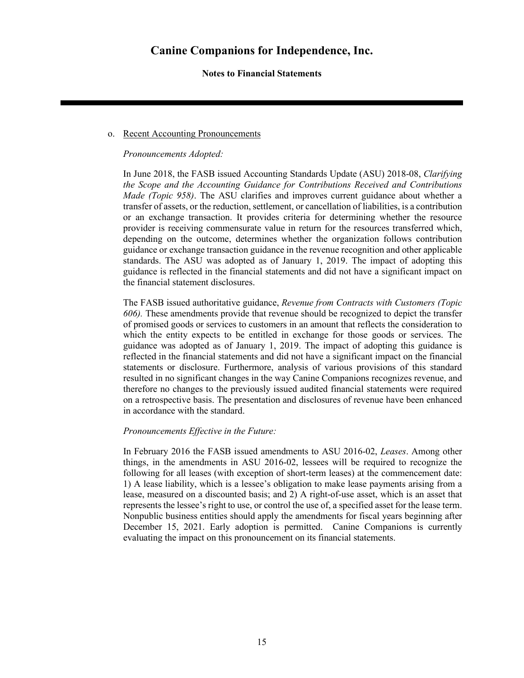## **Notes to Financial Statements**

#### o. Recent Accounting Pronouncements

#### *Pronouncements Adopted:*

In June 2018, the FASB issued Accounting Standards Update (ASU) 2018-08, *Clarifying the Scope and the Accounting Guidance for Contributions Received and Contributions Made (Topic 958)*. The ASU clarifies and improves current guidance about whether a transfer of assets, or the reduction, settlement, or cancellation of liabilities, is a contribution or an exchange transaction. It provides criteria for determining whether the resource provider is receiving commensurate value in return for the resources transferred which, depending on the outcome, determines whether the organization follows contribution guidance or exchange transaction guidance in the revenue recognition and other applicable standards. The ASU was adopted as of January 1, 2019. The impact of adopting this guidance is reflected in the financial statements and did not have a significant impact on the financial statement disclosures.

The FASB issued authoritative guidance, *Revenue from Contracts with Customers (Topic 606).* These amendments provide that revenue should be recognized to depict the transfer of promised goods or services to customers in an amount that reflects the consideration to which the entity expects to be entitled in exchange for those goods or services. The guidance was adopted as of January 1, 2019. The impact of adopting this guidance is reflected in the financial statements and did not have a significant impact on the financial statements or disclosure. Furthermore, analysis of various provisions of this standard resulted in no significant changes in the way Canine Companions recognizes revenue, and therefore no changes to the previously issued audited financial statements were required on a retrospective basis. The presentation and disclosures of revenue have been enhanced in accordance with the standard.

#### *Pronouncements Effective in the Future:*

In February 2016 the FASB issued amendments to ASU 2016-02, *Leases*. Among other things, in the amendments in ASU 2016-02, lessees will be required to recognize the following for all leases (with exception of short-term leases) at the commencement date: 1) A lease liability, which is a lessee's obligation to make lease payments arising from a lease, measured on a discounted basis; and 2) A right-of-use asset, which is an asset that represents the lessee's right to use, or control the use of, a specified asset for the lease term. Nonpublic business entities should apply the amendments for fiscal years beginning after December 15, 2021. Early adoption is permitted. Canine Companions is currently evaluating the impact on this pronouncement on its financial statements.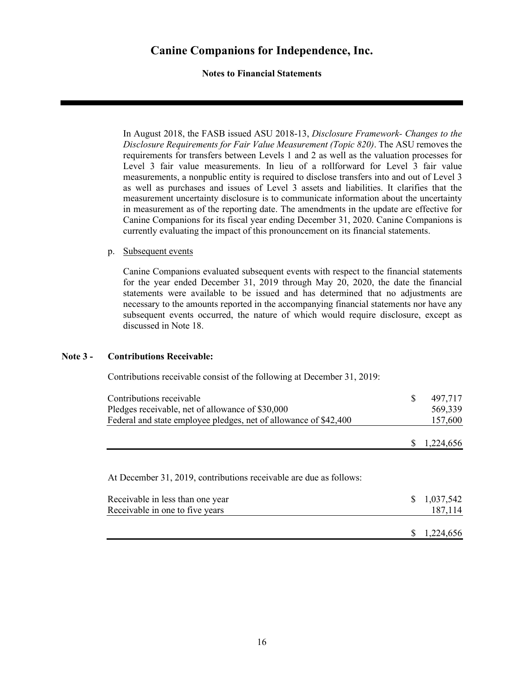# **Notes to Financial Statements**

In August 2018, the FASB issued ASU 2018-13, *Disclosure Framework- Changes to the Disclosure Requirements for Fair Value Measurement (Topic 820)*. The ASU removes the requirements for transfers between Levels 1 and 2 as well as the valuation processes for Level 3 fair value measurements. In lieu of a rollforward for Level 3 fair value measurements, a nonpublic entity is required to disclose transfers into and out of Level 3 as well as purchases and issues of Level 3 assets and liabilities. It clarifies that the measurement uncertainty disclosure is to communicate information about the uncertainty in measurement as of the reporting date. The amendments in the update are effective for Canine Companions for its fiscal year ending December 31, 2020. Canine Companions is currently evaluating the impact of this pronouncement on its financial statements.

#### p. Subsequent events

Canine Companions evaluated subsequent events with respect to the financial statements for the year ended December 31, 2019 through May 20, 2020, the date the financial statements were available to be issued and has determined that no adjustments are necessary to the amounts reported in the accompanying financial statements nor have any subsequent events occurred, the nature of which would require disclosure, except as discussed in Note 18.

#### **Note 3 - Contributions Receivable:**

Contributions receivable consist of the following at December 31, 2019:

| Contributions receivable<br>Pledges receivable, net of allowance of \$30,000<br>Federal and state employee pledges, net of allowance of \$42,400 | \$<br>497,717<br>569,339<br>157,600 |
|--------------------------------------------------------------------------------------------------------------------------------------------------|-------------------------------------|
|                                                                                                                                                  | 1,224,656                           |
| At December 31, 2019, contributions receivable are due as follows:                                                                               |                                     |
| Receivable in less than one year                                                                                                                 | 1,037,542                           |
| Receivable in one to five years                                                                                                                  | 187,114                             |
|                                                                                                                                                  | 1,224,656                           |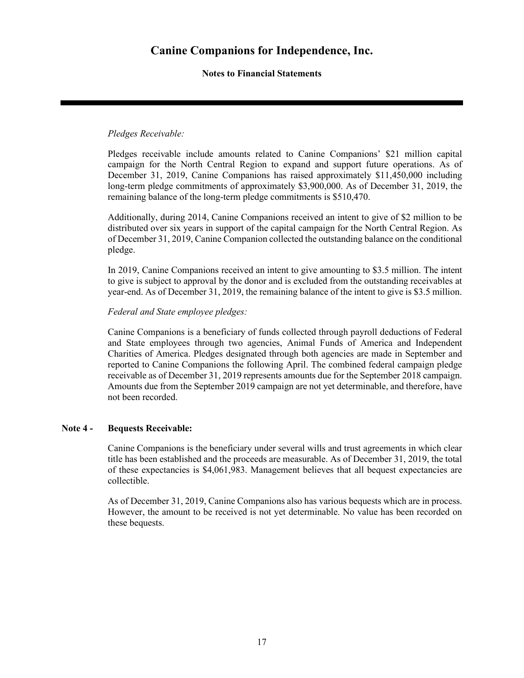## **Notes to Financial Statements**

## *Pledges Receivable:*

Pledges receivable include amounts related to Canine Companions' \$21 million capital campaign for the North Central Region to expand and support future operations. As of December 31, 2019, Canine Companions has raised approximately \$11,450,000 including long-term pledge commitments of approximately \$3,900,000. As of December 31, 2019, the remaining balance of the long-term pledge commitments is \$510,470.

Additionally, during 2014, Canine Companions received an intent to give of \$2 million to be distributed over six years in support of the capital campaign for the North Central Region. As of December 31, 2019, Canine Companion collected the outstanding balance on the conditional pledge.

In 2019, Canine Companions received an intent to give amounting to \$3.5 million. The intent to give is subject to approval by the donor and is excluded from the outstanding receivables at year-end. As of December 31, 2019, the remaining balance of the intent to give is \$3.5 million.

## *Federal and State employee pledges:*

Canine Companions is a beneficiary of funds collected through payroll deductions of Federal and State employees through two agencies, Animal Funds of America and Independent Charities of America. Pledges designated through both agencies are made in September and reported to Canine Companions the following April. The combined federal campaign pledge receivable as of December 31, 2019 represents amounts due for the September 2018 campaign. Amounts due from the September 2019 campaign are not yet determinable, and therefore, have not been recorded.

# **Note 4 - Bequests Receivable:**

Canine Companions is the beneficiary under several wills and trust agreements in which clear title has been established and the proceeds are measurable. As of December 31, 2019, the total of these expectancies is \$4,061,983. Management believes that all bequest expectancies are collectible.

As of December 31, 2019, Canine Companions also has various bequests which are in process. However, the amount to be received is not yet determinable. No value has been recorded on these bequests.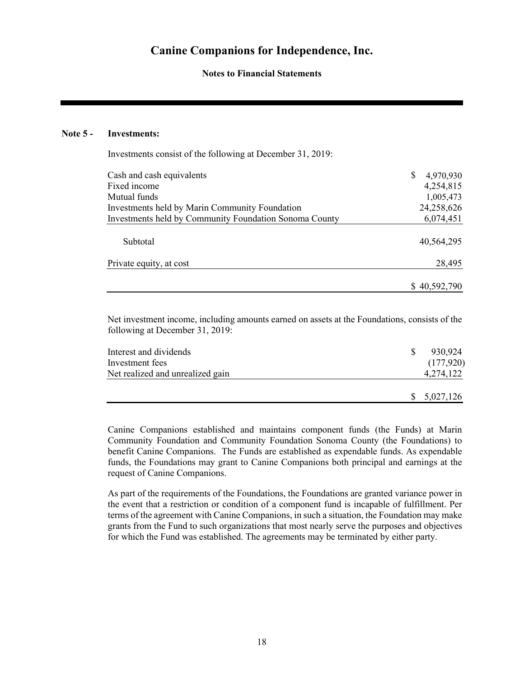## **Notes to Financial Statements**

#### **Note 5 - Investments:**

Investments consist of the following at December 31, 2019:

| Cash and cash equivalents                              | \$<br>4,970,930 |
|--------------------------------------------------------|-----------------|
| Fixed income                                           | 4,254,815       |
| Mutual funds                                           | 1,005,473       |
| Investments held by Marin Community Foundation         | 24,258,626      |
| Investments held by Community Foundation Sonoma County | 6,074,451       |
| Subtotal                                               | 40,564,295      |
| Private equity, at cost                                | 28,495          |
|                                                        | \$40,592,790    |

Net investment income, including amounts earned on assets at the Foundations, consists of the following at December 31, 2019:

| Interest and dividends<br>Investment fees | 930,924<br>(177,920) |
|-------------------------------------------|----------------------|
| Net realized and unrealized gain          | 4,274,122            |
|                                           | \$5,027,126          |

Canine Companions established and maintains component funds (the Funds) at Marin Community Foundation and Community Foundation Sonoma County (the Foundations) to benefit Canine Companions. The Funds are established as expendable funds. As expendable funds, the Foundations may grant to Canine Companions both principal and earnings at the request of Canine Companions.

As part of the requirements of the Foundations, the Foundations are granted variance power in the event that a restriction or condition of a component fund is incapable of fulfillment. Per terms of the agreement with Canine Companions, in such a situation, the Foundation may make grants from the Fund to such organizations that most nearly serve the purposes and objectives for which the Fund was established. The agreements may be terminated by either party.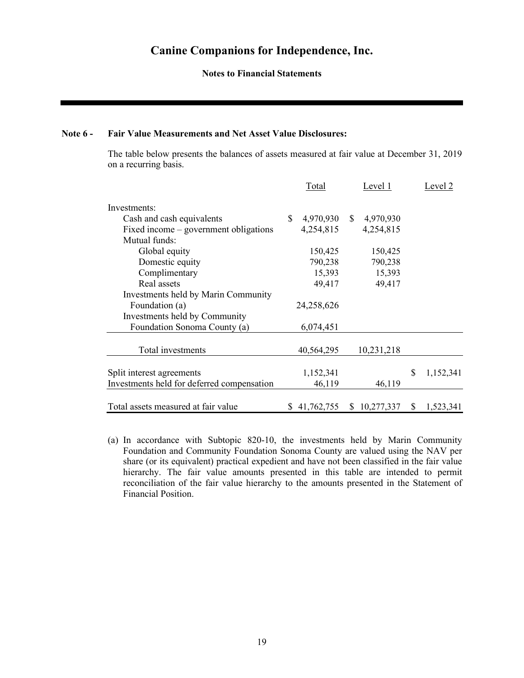**Notes to Financial Statements** 

#### **Note 6 -Note 6 - Fair Value Measurements and Net Asset Value Disclosures:**

 The table below presents the balances of assets measured at fair value at December 31, 2019 on a recurring basis.

|                                            | Total                | Level 1      |               | Level 2   |
|--------------------------------------------|----------------------|--------------|---------------|-----------|
| Investments:                               |                      |              |               |           |
| Cash and cash equivalents                  | \$<br>$4,970,930$ \$ | 4,970,930    |               |           |
| Fixed income $-$ government obligations    | 4,254,815            | 4,254,815    |               |           |
| Mutual funds:                              |                      |              |               |           |
| Global equity                              | 150,425              | 150,425      |               |           |
| Domestic equity                            | 790,238              | 790,238      |               |           |
| Complimentary                              | 15,393               | 15,393       |               |           |
| Real assets                                | 49,417               | 49,417       |               |           |
| Investments held by Marin Community        |                      |              |               |           |
| Foundation (a)                             | 24,258,626           |              |               |           |
| Investments held by Community              |                      |              |               |           |
| Foundation Sonoma County (a)               | 6,074,451            |              |               |           |
|                                            |                      |              |               |           |
| Total investments                          | 40,564,295           | 10,231,218   |               |           |
|                                            |                      |              |               |           |
| Split interest agreements                  | 1,152,341            |              | \$            | 1,152,341 |
| Investments held for deferred compensation | 46,119               | 46,119       |               |           |
|                                            |                      |              |               |           |
| Total assets measured at fair value        | \$41,762,755         | \$10,277,337 | <sup>\$</sup> | 1,523,341 |

 (a) In accordance with Subtopic 820-10, the investments held by Marin Community share (or its equivalent) practical expedient and have not been classified in the fair value hierarchy. The fair value amounts presented in this table are intended to permit reconciliation of the fair value hierarchy to the amounts presented in the Statement of Foundation and Community Foundation Sonoma County are valued using the NAV per Financial Position.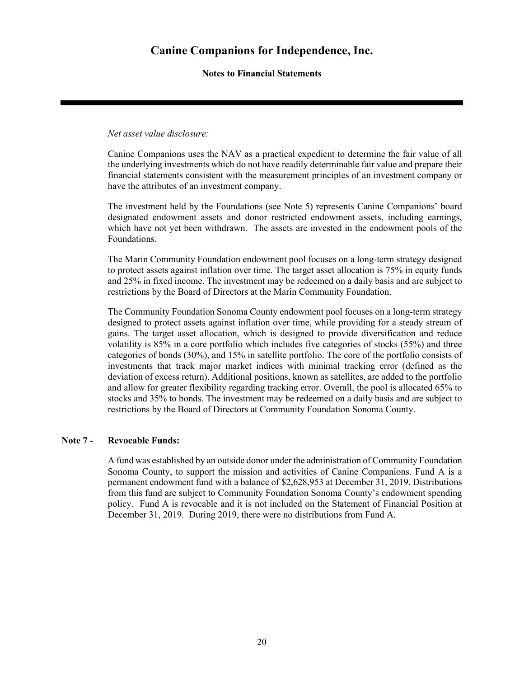**Notes to Financial Statements** 

## *Net asset value disclosure:*

Canine Companions uses the NAV as a practical expedient to determine the fair value of all the underlying investments which do not have readily determinable fair value and prepare their financial statements consistent with the measurement principles of an investment company or have the attributes of an investment company.

The investment held by the Foundations (see Note 5) represents Canine Companions' board designated endowment assets and donor restricted endowment assets, including earnings, which have not yet been withdrawn. The assets are invested in the endowment pools of the Foundations.

The Marin Community Foundation endowment pool focuses on a long-term strategy designed to protect assets against inflation over time. The target asset allocation is 75% in equity funds and 25% in fixed income. The investment may be redeemed on a daily basis and are subject to restrictions by the Board of Directors at the Marin Community Foundation.

The Community Foundation Sonoma County endowment pool focuses on a long-term strategy designed to protect assets against inflation over time, while providing for a steady stream of gains. The target asset allocation, which is designed to provide diversification and reduce volatility is 85% in a core portfolio which includes five categories of stocks (55%) and three categories of bonds (30%), and 15% in satellite portfolio. The core of the portfolio consists of investments that track major market indices with minimal tracking error (defined as the deviation of excess return). Additional positions, known as satellites, are added to the portfolio and allow for greater flexibility regarding tracking error. Overall, the pool is allocated 65% to stocks and 35% to bonds. The investment may be redeemed on a daily basis and are subject to restrictions by the Board of Directors at Community Foundation Sonoma County.

# **Note 7 - Revocable Funds:**

A fund was established by an outside donor under the administration of Community Foundation Sonoma County, to support the mission and activities of Canine Companions. Fund A is a permanent endowment fund with a balance of \$2,628,953 at December 31, 2019. Distributions from this fund are subject to Community Foundation Sonoma County's endowment spending policy. Fund A is revocable and it is not included on the Statement of Financial Position at December 31, 2019. During 2019, there were no distributions from Fund A.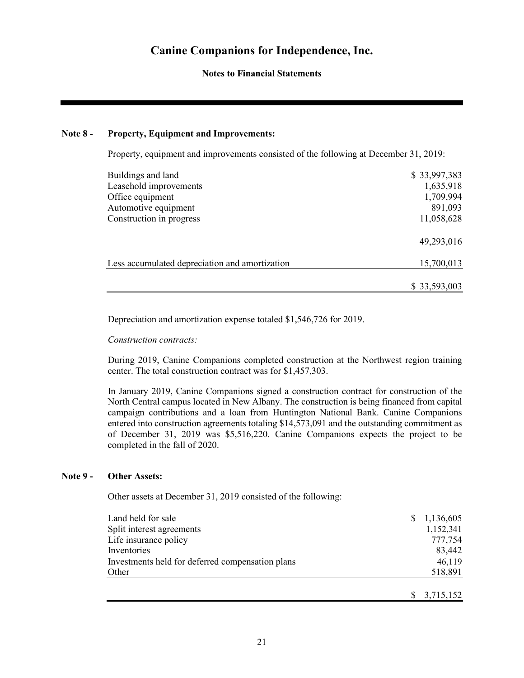**Notes to Financial Statements** 

#### **Note 8 - Property, Equipment and Improvements:**

Property, equipment and improvements consisted of the following at December 31, 2019:

| Buildings and land                             | \$33,997,383 |
|------------------------------------------------|--------------|
| Leasehold improvements                         | 1,635,918    |
| Office equipment                               | 1,709,994    |
| Automotive equipment                           | 891,093      |
| Construction in progress                       | 11,058,628   |
|                                                |              |
|                                                | 49,293,016   |
| Less accumulated depreciation and amortization | 15,700,013   |
|                                                |              |
|                                                | \$33,593,003 |

Depreciation and amortization expense totaled \$1,546,726 for 2019.

*Construction contracts:*

During 2019, Canine Companions completed construction at the Northwest region training center. The total construction contract was for \$1,457,303.

In January 2019, Canine Companions signed a construction contract for construction of the North Central campus located in New Albany. The construction is being financed from capital campaign contributions and a loan from Huntington National Bank. Canine Companions entered into construction agreements totaling \$14,573,091 and the outstanding commitment as of December 31, 2019 was \$5,516,220. Canine Companions expects the project to be completed in the fall of 2020.

#### **Note 9 - Other Assets:**

Other assets at December 31, 2019 consisted of the following:

| Land held for sale                               | 1,136,605 |
|--------------------------------------------------|-----------|
| Split interest agreements                        | 1,152,341 |
| Life insurance policy                            | 777,754   |
| Inventories                                      | 83,442    |
| Investments held for deferred compensation plans | 46,119    |
| Other                                            | 518,891   |
|                                                  | 3,715,152 |
|                                                  |           |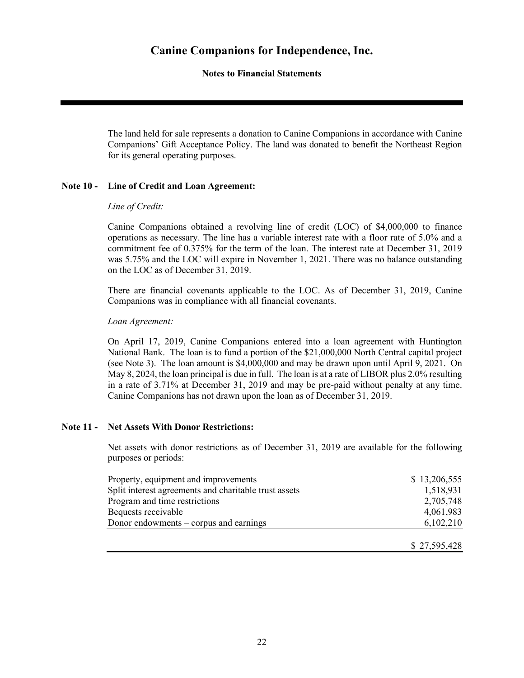**Notes to Financial Statements** 

The land held for sale represents a donation to Canine Companions in accordance with Canine Companions' Gift Acceptance Policy. The land was donated to benefit the Northeast Region for its general operating purposes.

# **Note 10 - Line of Credit and Loan Agreement:**

## *Line of Credit:*

Canine Companions obtained a revolving line of credit (LOC) of \$4,000,000 to finance operations as necessary. The line has a variable interest rate with a floor rate of 5.0% and a commitment fee of 0.375% for the term of the loan. The interest rate at December 31, 2019 was 5.75% and the LOC will expire in November 1, 2021. There was no balance outstanding on the LOC as of December 31, 2019.

There are financial covenants applicable to the LOC. As of December 31, 2019, Canine Companions was in compliance with all financial covenants.

## *Loan Agreement:*

On April 17, 2019, Canine Companions entered into a loan agreement with Huntington National Bank. The loan is to fund a portion of the \$21,000,000 North Central capital project (see Note 3). The loan amount is \$4,000,000 and may be drawn upon until April 9, 2021. On May 8, 2024, the loan principal is due in full. The loan is at a rate of LIBOR plus 2.0% resulting in a rate of 3.71% at December 31, 2019 and may be pre-paid without penalty at any time. Canine Companions has not drawn upon the loan as of December 31, 2019.

#### **Note 11 - Net Assets With Donor Restrictions:**

Net assets with donor restrictions as of December 31, 2019 are available for the following purposes or periods:

| Property, equipment and improvements                  | \$13,206,555 |
|-------------------------------------------------------|--------------|
| Split interest agreements and charitable trust assets | 1,518,931    |
| Program and time restrictions                         | 2,705,748    |
| Bequests receivable                                   | 4,061,983    |
| Donor endowments – corpus and earnings                | 6,102,210    |
|                                                       | \$27,595,428 |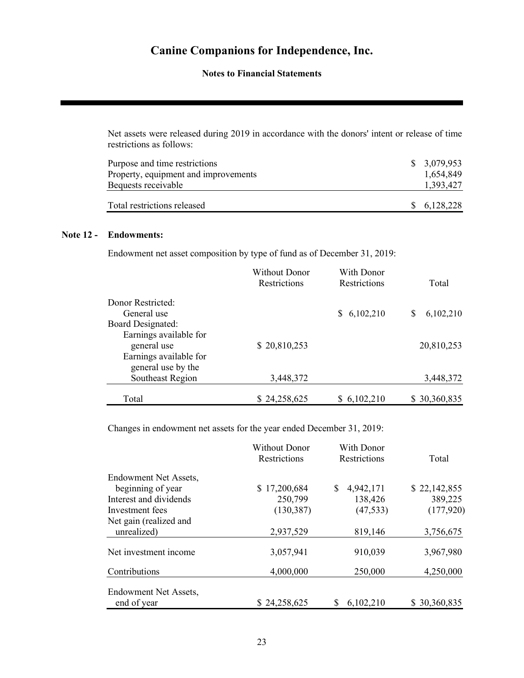# **Notes to Financial Statements**

 Net assets were released during 2019 in accordance with the donors' intent or release of time restrictions as follows:

| Purpose and time restrictions        | \$3,079,953 |
|--------------------------------------|-------------|
| Property, equipment and improvements | 1,654,849   |
| Bequests receivable                  | 1,393,427   |
|                                      |             |
| Total restrictions released          | \$6,128,228 |

## **Note 12 - Endowments:**

Endowment net asset composition by type of fund as of December 31, 2019:

|                        | <b>Without Donor</b><br><b>Restrictions</b> | With Donor<br>Restrictions | Total          |
|------------------------|---------------------------------------------|----------------------------|----------------|
| Donor Restricted:      |                                             |                            |                |
| General use            |                                             | 6,102,210<br>S.            | 6,102,210<br>S |
| Board Designated:      |                                             |                            |                |
| Earnings available for |                                             |                            |                |
| general use            | \$20,810,253                                |                            | 20,810,253     |
| Earnings available for |                                             |                            |                |
| general use by the     |                                             |                            |                |
| Southeast Region       | 3,448,372                                   |                            | 3,448,372      |
| Total                  | \$24,258,625                                | \$6,102,210                | \$30,360,835   |

Changes in endowment net assets for the year ended December 31, 2019:

|                                                   | <b>Without Donor</b><br>Restrictions | With Donor<br>Restrictions | Total        |
|---------------------------------------------------|--------------------------------------|----------------------------|--------------|
| <b>Endowment Net Assets,</b><br>beginning of year | \$17,200,684                         | \$<br>4,942,171            | \$22,142,855 |
| Interest and dividends                            | 250,799                              | 138,426                    | 389,225      |
| Investment fees                                   | (130, 387)                           | (47, 533)                  | (177,920)    |
| Net gain (realized and<br>unrealized)             | 2,937,529                            | 819,146                    | 3,756,675    |
| Net investment income                             | 3,057,941                            | 910,039                    | 3,967,980    |
| Contributions                                     | 4,000,000                            | 250,000                    | 4,250,000    |
| Endowment Net Assets,<br>end of year              | \$24,258,625                         | 6,102,210                  | \$30,360,835 |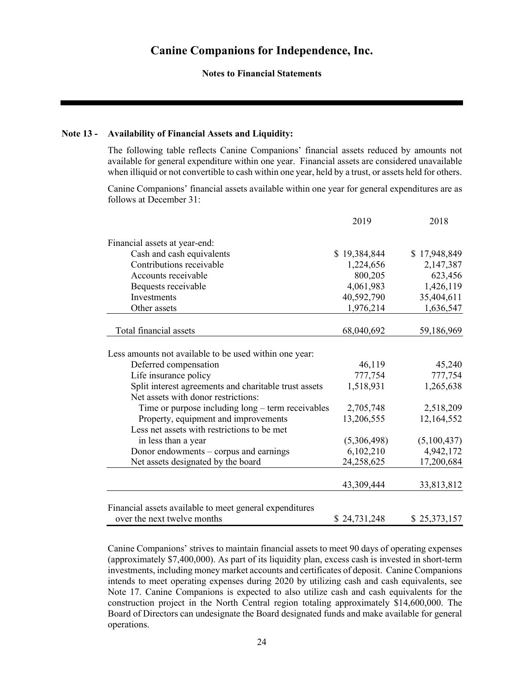## **Notes to Financial Statements**

#### **Note 13 - Availability of Financial Assets and Liquidity:**

 when illiquid or not convertible to cash within one year, held by a trust, or assets held for others. The following table reflects Canine Companions' financial assets reduced by amounts not available for general expenditure within one year. Financial assets are considered unavailable

 Canine Companions' financial assets available within one year for general expenditures are as follows at December 31:

|                                                         | 2019         | 2018         |
|---------------------------------------------------------|--------------|--------------|
| Financial assets at year-end:                           |              |              |
| Cash and cash equivalents                               | \$19,384,844 | \$17,948,849 |
| Contributions receivable                                | 1,224,656    | 2,147,387    |
| Accounts receivable                                     | 800,205      | 623,456      |
| Bequests receivable                                     | 4,061,983    | 1,426,119    |
| Investments                                             | 40,592,790   | 35,404,611   |
| Other assets                                            | 1,976,214    | 1,636,547    |
| Total financial assets                                  | 68,040,692   | 59,186,969   |
| Less amounts not available to be used within one year:  |              |              |
| Deferred compensation                                   | 46,119       | 45,240       |
| Life insurance policy                                   | 777,754      | 777,754      |
| Split interest agreements and charitable trust assets   | 1,518,931    | 1,265,638    |
| Net assets with donor restrictions:                     |              |              |
| Time or purpose including long – term receivables       | 2,705,748    | 2,518,209    |
| Property, equipment and improvements                    | 13,206,555   | 12,164,552   |
| Less net assets with restrictions to be met             |              |              |
| in less than a year                                     | (5,306,498)  | (5,100,437)  |
| Donor endowments – corpus and earnings                  | 6,102,210    | 4,942,172    |
| Net assets designated by the board                      | 24,258,625   | 17,200,684   |
|                                                         | 43,309,444   | 33,813,812   |
| Financial assets available to meet general expenditures |              |              |
| over the next twelve months                             | \$24,731,248 | \$25,373,157 |

 Canine Companions' strives to maintain financial assets to meet 90 days of operating expenses investments, including money market accounts and certificates of deposit. Canine Companions Note 17. Canine Companions is expected to also utilize cash and cash equivalents for the Board of Directors can undesignate the Board designated funds and make available for general operations. (approximately \$7,400,000). As part of its liquidity plan, excess cash is invested in short-term intends to meet operating expenses during 2020 by utilizing cash and cash equivalents, see construction project in the North Central region totaling approximately \$14,600,000. The operations. 24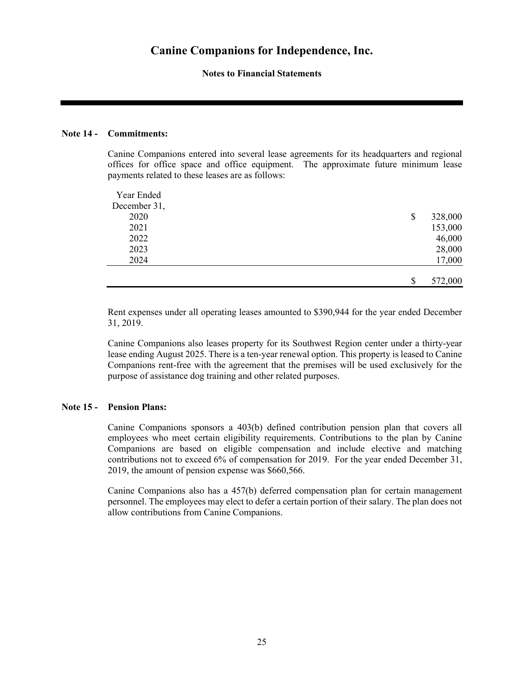**Notes to Financial Statements** 

#### **Note 14 - Commitments:**

Canine Companions entered into several lease agreements for its headquarters and regional offices for office space and office equipment. The approximate future minimum lease payments related to these leases are as follows:

| Year Ended   |               |
|--------------|---------------|
| December 31, |               |
| 2020         | 328,000<br>\$ |
| 2021         | 153,000       |
| 2022         | 46,000        |
| 2023         | 28,000        |
| 2024         | 17,000        |
|              |               |
|              | 572,000<br>\$ |

Rent expenses under all operating leases amounted to \$390,944 for the year ended December 31, 2019.

Canine Companions also leases property for its Southwest Region center under a thirty-year lease ending August 2025. There is a ten-year renewal option. This property is leased to Canine Companions rent-free with the agreement that the premises will be used exclusively for the purpose of assistance dog training and other related purposes.

# **Note 15 - Pension Plans:**

Canine Companions sponsors a 403(b) defined contribution pension plan that covers all employees who meet certain eligibility requirements. Contributions to the plan by Canine Companions are based on eligible compensation and include elective and matching contributions not to exceed 6% of compensation for 2019. For the year ended December 31, 2019, the amount of pension expense was \$660,566.

Canine Companions also has a 457(b) deferred compensation plan for certain management personnel. The employees may elect to defer a certain portion of their salary. The plan does not allow contributions from Canine Companions.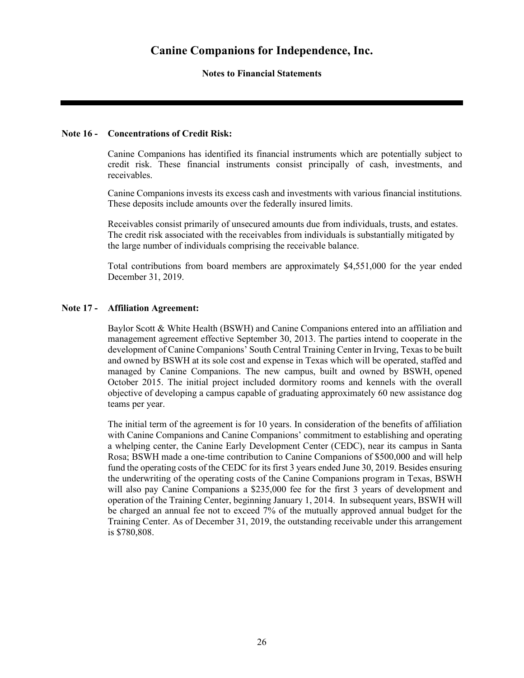**Notes to Financial Statements** 

## **Note 16 - Concentrations of Credit Risk:**

Canine Companions has identified its financial instruments which are potentially subject to credit risk. These financial instruments consist principally of cash, investments, and receivables.

Canine Companions invests its excess cash and investments with various financial institutions. These deposits include amounts over the federally insured limits.

Receivables consist primarily of unsecured amounts due from individuals, trusts, and estates. The credit risk associated with the receivables from individuals is substantially mitigated by the large number of individuals comprising the receivable balance.

Total contributions from board members are approximately \$4,551,000 for the year ended December 31, 2019.

# **Note 17 - Affiliation Agreement:**

Baylor Scott & White Health (BSWH) and Canine Companions entered into an affiliation and management agreement effective September 30, 2013. The parties intend to cooperate in the development of Canine Companions' South Central Training Center in Irving, Texas to be built and owned by BSWH at its sole cost and expense in Texas which will be operated, staffed and managed by Canine Companions. The new campus, built and owned by BSWH, opened October 2015. The initial project included dormitory rooms and kennels with the overall objective of developing a campus capable of graduating approximately 60 new assistance dog teams per year.

The initial term of the agreement is for 10 years. In consideration of the benefits of affiliation with Canine Companions and Canine Companions' commitment to establishing and operating a whelping center, the Canine Early Development Center (CEDC), near its campus in Santa Rosa; BSWH made a one-time contribution to Canine Companions of \$500,000 and will help fund the operating costs of the CEDC for its first 3 years ended June 30, 2019. Besides ensuring the underwriting of the operating costs of the Canine Companions program in Texas, BSWH will also pay Canine Companions a \$235,000 fee for the first 3 years of development and operation of the Training Center, beginning January 1, 2014. In subsequent years, BSWH will be charged an annual fee not to exceed 7% of the mutually approved annual budget for the Training Center. As of December 31, 2019, the outstanding receivable under this arrangement is \$780,808.